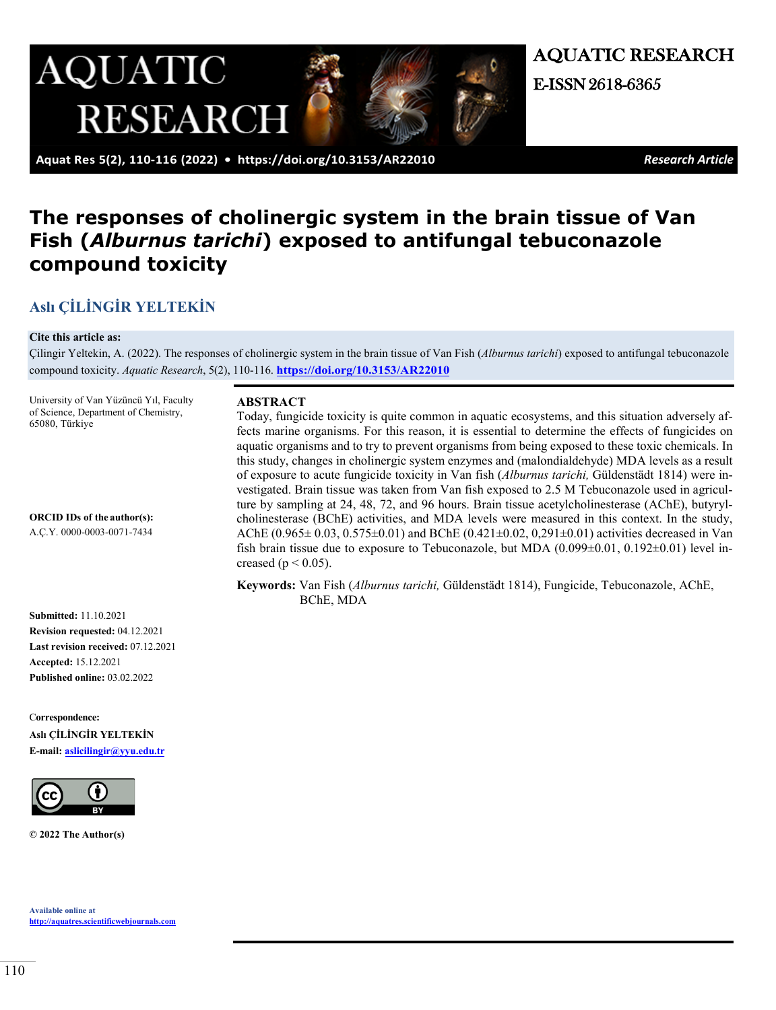

AQUATIC RESEARCH E-ISSN 2618-6365

 **Aquat Res 5(2), 110-116 (2022) • <https://doi.org/10.3153/AR22010>** *Research Article*

# **The responses of cholinergic system in the brain tissue of Van Fish (***Alburnus tarichi***) exposed to antifungal tebuconazole compound toxicity**

## **Aslı [ÇİLİNGİR YELTEKİN](https://orcid.org/0000-0003-0071-7434)**

#### **Cite this article as:**

Çilingir Yeltekin, A. (2022). The responses of cholinergic system in the brain tissue of Van Fish (*Alburnus tarichi*) exposed to antifungal tebuconazole compound toxicity. *Aquatic Research*, 5(2), 110-116. **<https://doi.org/10.3153/AR22010>**

University of Van Yüzüncü Yıl, Faculty of Science, Department of Chemistry, 65080, Türkiye

**ORCID IDs of the author(s):** 

A.Ç.Y. 0000-0003-0071-7434

#### **ABSTRACT**

Today, fungicide toxicity is quite common in aquatic ecosystems, and this situation adversely affects marine organisms. For this reason, it is essential to determine the effects of fungicides on aquatic organisms and to try to prevent organisms from being exposed to these toxic chemicals. In this study, changes in cholinergic system enzymes and (malondialdehyde) MDA levels as a result of exposure to acute fungicide toxicity in Van fish (*Alburnus tarichi,* Güldenstädt 1814) were investigated. Brain tissue was taken from Van fish exposed to 2.5 M Tebuconazole used in agriculture by sampling at 24, 48, 72, and 96 hours. Brain tissue acetylcholinesterase (AChE), butyrylcholinesterase (BChE) activities, and MDA levels were measured in this context. In the study, AChE  $(0.965 \pm 0.03, 0.575 \pm 0.01)$  and BChE  $(0.421 \pm 0.02, 0.291 \pm 0.01)$  activities decreased in Van fish brain tissue due to exposure to Tebuconazole, but MDA  $(0.099\pm0.01, 0.192\pm0.01)$  level increased ( $p < 0.05$ ).

**Keywords:** Van Fish (*Alburnus tarichi,* Güldenstädt 1814), Fungicide, Tebuconazole, AChE, BChE, MDA

**Submitted:** 11.10.2021 **Revision requested:** 04.12.2021 **Last revision received:** 07.12.2021 **Accepted:** 15.12.2021 **Published online:** 03.02.2022

C**orrespondence: Aslı ÇİLİNGİR YELTEKİN E-mail: [aslicilingir@yyu.edu.tr](mailto:aslicilingir@yyu.edu.tr)**



**© 2022 The Author(s)**

**Available online at [http://aquatres.scientificwebjournals.com](http://aquatres.scientificwebjournals.com/)**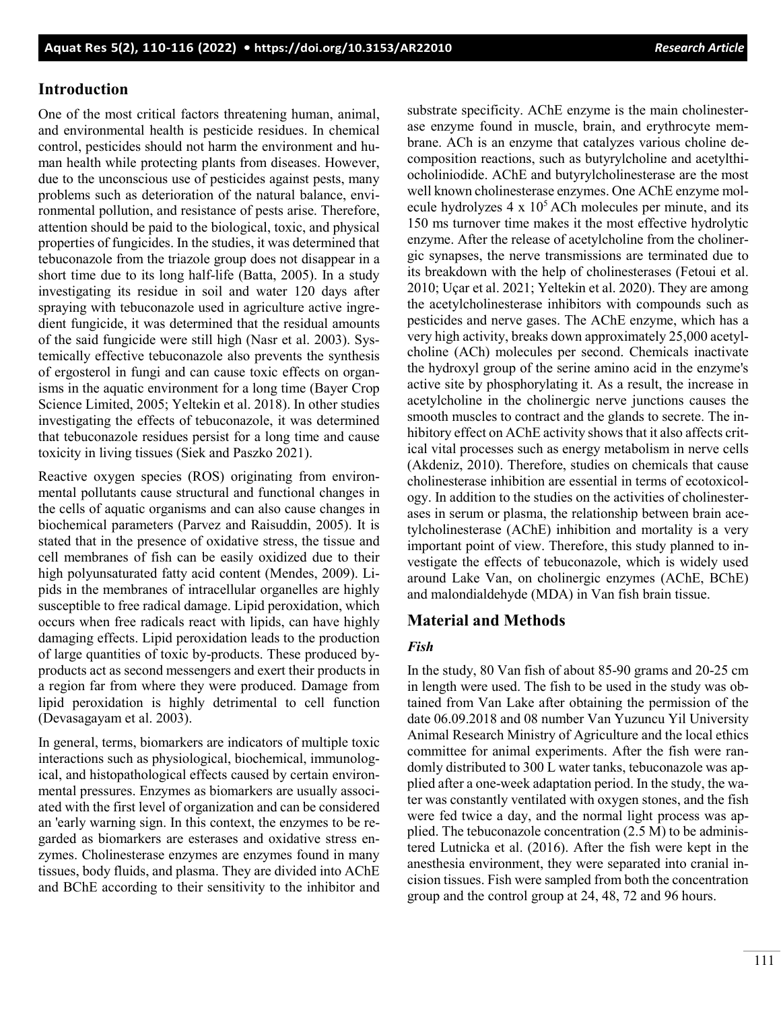#### **Introduction**

One of the most critical factors threatening human, animal, and environmental health is pesticide residues. In chemical control, pesticides should not harm the environment and human health while protecting plants from diseases. However, due to the unconscious use of pesticides against pests, many problems such as deterioration of the natural balance, environmental pollution, and resistance of pests arise. Therefore, attention should be paid to the biological, toxic, and physical properties of fungicides. In the studies, it was determined that tebuconazole from the triazole group does not disappear in a short time due to its long half-life (Batta, 2005). In a study investigating its residue in soil and water 120 days after spraying with tebuconazole used in agriculture active ingredient fungicide, it was determined that the residual amounts of the said fungicide were still high (Nasr et al. 2003). Systemically effective tebuconazole also prevents the synthesis of ergosterol in fungi and can cause toxic effects on organisms in the aquatic environment for a long time (Bayer Crop Science Limited, 2005; Yeltekin et al. 2018). In other studies investigating the effects of tebuconazole, it was determined that tebuconazole residues persist for a long time and cause toxicity in living tissues (Siek and Paszko 2021).

Reactive oxygen species (ROS) originating from environmental pollutants cause structural and functional changes in the cells of aquatic organisms and can also cause changes in biochemical parameters (Parvez and Raisuddin, 2005). It is stated that in the presence of oxidative stress, the tissue and cell membranes of fish can be easily oxidized due to their high polyunsaturated fatty acid content (Mendes, 2009). Lipids in the membranes of intracellular organelles are highly susceptible to free radical damage. Lipid peroxidation, which occurs when free radicals react with lipids, can have highly damaging effects. Lipid peroxidation leads to the production of large quantities of toxic by-products. These produced byproducts act as second messengers and exert their products in a region far from where they were produced. Damage from lipid peroxidation is highly detrimental to cell function (Devasagayam et al. 2003).

In general, terms, biomarkers are indicators of multiple toxic interactions such as physiological, biochemical, immunological, and histopathological effects caused by certain environmental pressures. Enzymes as biomarkers are usually associated with the first level of organization and can be considered an 'early warning sign. In this context, the enzymes to be regarded as biomarkers are esterases and oxidative stress enzymes. Cholinesterase enzymes are enzymes found in many tissues, body fluids, and plasma. They are divided into AChE and BChE according to their sensitivity to the inhibitor and

substrate specificity. AChE enzyme is the main cholinesterase enzyme found in muscle, brain, and erythrocyte membrane. ACh is an enzyme that catalyzes various choline decomposition reactions, such as butyrylcholine and acetylthiocholiniodide. AChE and butyrylcholinesterase are the most well known cholinesterase enzymes. One AChE enzyme molecule hydrolyzes  $4 \times 10^5$  ACh molecules per minute, and its 150 ms turnover time makes it the most effective hydrolytic enzyme. After the release of acetylcholine from the cholinergic synapses, the nerve transmissions are terminated due to its breakdown with the help of cholinesterases (Fetoui et al. 2010; Uçar et al. 2021; Yeltekin et al. 2020). They are among the acetylcholinesterase inhibitors with compounds such as pesticides and nerve gases. The AChE enzyme, which has a very high activity, breaks down approximately 25,000 acetylcholine (ACh) molecules per second. Chemicals inactivate the hydroxyl group of the serine amino acid in the enzyme's active site by phosphorylating it. As a result, the increase in acetylcholine in the cholinergic nerve junctions causes the smooth muscles to contract and the glands to secrete. The inhibitory effect on AChE activity shows that it also affects critical vital processes such as energy metabolism in nerve cells (Akdeniz, 2010). Therefore, studies on chemicals that cause cholinesterase inhibition are essential in terms of ecotoxicology. In addition to the studies on the activities of cholinesterases in serum or plasma, the relationship between brain acetylcholinesterase (AChE) inhibition and mortality is a very important point of view. Therefore, this study planned to investigate the effects of tebuconazole, which is widely used around Lake Van, on cholinergic enzymes (AChE, BChE) and malondialdehyde (MDA) in Van fish brain tissue.

#### **Material and Methods**

#### *Fish*

In the study, 80 Van fish of about 85-90 grams and 20-25 cm in length were used. The fish to be used in the study was obtained from Van Lake after obtaining the permission of the date 06.09.2018 and 08 number Van Yuzuncu Yil University Animal Research Ministry of Agriculture and the local ethics committee for animal experiments. After the fish were randomly distributed to 300 L water tanks, tebuconazole was applied after a one-week adaptation period. In the study, the water was constantly ventilated with oxygen stones, and the fish were fed twice a day, and the normal light process was applied. The tebuconazole concentration (2.5 M) to be administered Lutnicka et al. (2016). After the fish were kept in the anesthesia environment, they were separated into cranial incision tissues. Fish were sampled from both the concentration group and the control group at 24, 48, 72 and 96 hours.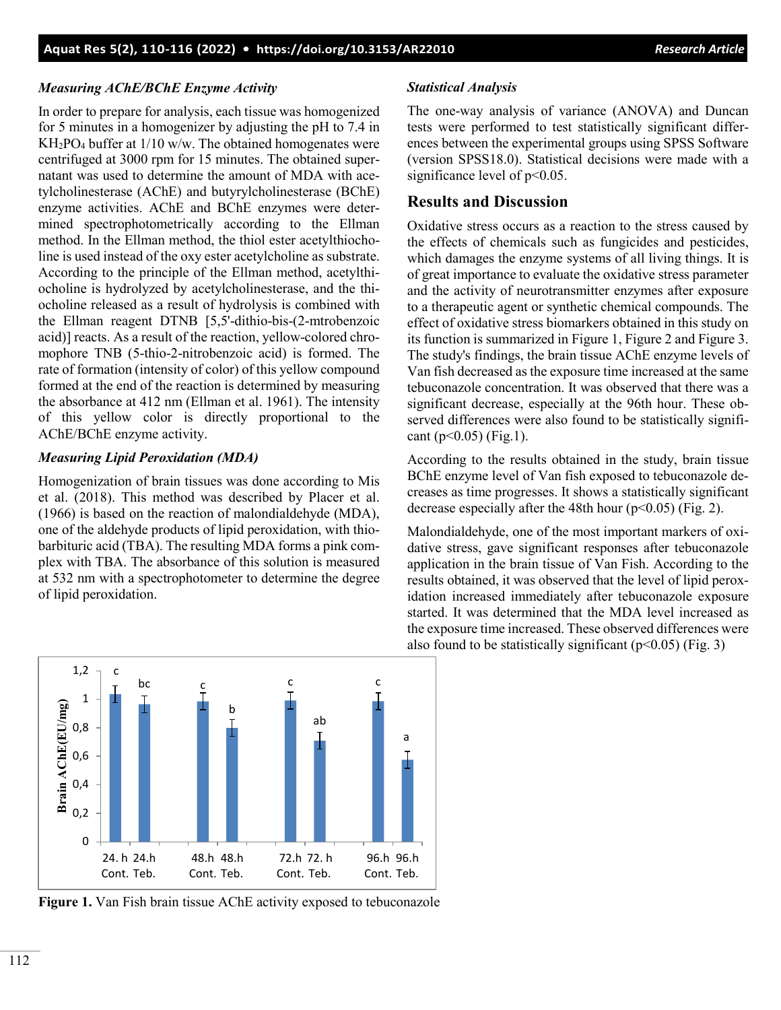#### *Measuring AChE/BChE Enzyme Activity*

In order to prepare for analysis, each tissue was homogenized for 5 minutes in a homogenizer by adjusting the pH to 7.4 in  $KH_2PO_4$  buffer at  $1/10$  w/w. The obtained homogenates were centrifuged at 3000 rpm for 15 minutes. The obtained supernatant was used to determine the amount of MDA with acetylcholinesterase (AChE) and butyrylcholinesterase (BChE) enzyme activities. AChE and BChE enzymes were determined spectrophotometrically according to the Ellman method. In the Ellman method, the thiol ester acetylthiocholine is used instead of the oxy ester acetylcholine as substrate. According to the principle of the Ellman method, acetylthiocholine is hydrolyzed by acetylcholinesterase, and the thiocholine released as a result of hydrolysis is combined with the Ellman reagent DTNB [5,5'-dithio-bis-(2-mtrobenzoic acid)] reacts. As a result of the reaction, yellow-colored chromophore TNB (5-thio-2-nitrobenzoic acid) is formed. The rate of formation (intensity of color) of this yellow compound formed at the end of the reaction is determined by measuring the absorbance at 412 nm (Ellman et al. 1961). The intensity of this yellow color is directly proportional to the AChE/BChE enzyme activity.

#### *Measuring Lipid Peroxidation (MDA)*

Homogenization of brain tissues was done according to Mis et al. (2018). This method was described by Placer et al. (1966) is based on the reaction of malondialdehyde (MDA), one of the aldehyde products of lipid peroxidation, with thiobarbituric acid (TBA). The resulting MDA forms a pink complex with TBA. The absorbance of this solution is measured at 532 nm with a spectrophotometer to determine the degree of lipid peroxidation.

#### *Statistical Analysis*

The one-way analysis of variance (ANOVA) and Duncan tests were performed to test statistically significant differences between the experimental groups using SPSS Software (version SPSS18.0). Statistical decisions were made with a significance level of  $p<0.05$ .

#### **Results and Discussion**

Oxidative stress occurs as a reaction to the stress caused by the effects of chemicals such as fungicides and pesticides, which damages the enzyme systems of all living things. It is of great importance to evaluate the oxidative stress parameter and the activity of neurotransmitter enzymes after exposure to a therapeutic agent or synthetic chemical compounds. The effect of oxidative stress biomarkers obtained in this study on its function is summarized in Figure 1, Figure 2 and Figure 3. The study's findings, the brain tissue AChE enzyme levels of Van fish decreased as the exposure time increased at the same tebuconazole concentration. It was observed that there was a significant decrease, especially at the 96th hour. These observed differences were also found to be statistically significant ( $p<0.05$ ) (Fig.1).

According to the results obtained in the study, brain tissue BChE enzyme level of Van fish exposed to tebuconazole decreases as time progresses. It shows a statistically significant decrease especially after the 48th hour ( $p<0.05$ ) (Fig. 2).

Malondialdehyde, one of the most important markers of oxidative stress, gave significant responses after tebuconazole application in the brain tissue of Van Fish. According to the results obtained, it was observed that the level of lipid peroxidation increased immediately after tebuconazole exposure started. It was determined that the MDA level increased as the exposure time increased. These observed differences were also found to be statistically significant ( $p<0.05$ ) (Fig. 3)

**Figure 1.** Van Fish brain tissue AChE activity exposed to tebuconazole

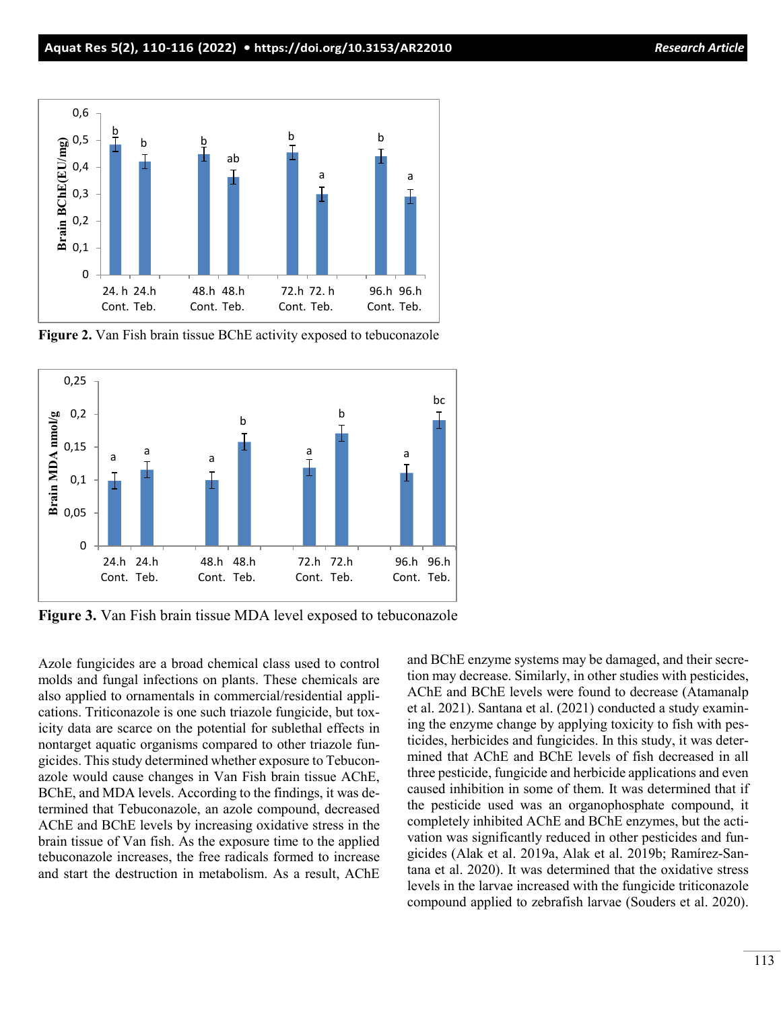

**Figure 2.** Van Fish brain tissue BChE activity exposed to tebuconazole



**Figure 3.** Van Fish brain tissue MDA level exposed to tebuconazole

Azole fungicides are a broad chemical class used to control molds and fungal infections on plants. These chemicals are also applied to ornamentals in commercial/residential applications. Triticonazole is one such triazole fungicide, but toxicity data are scarce on the potential for sublethal effects in nontarget aquatic organisms compared to other triazole fungicides. This study determined whether exposure to Tebuconazole would cause changes in Van Fish brain tissue AChE, BChE, and MDA levels. According to the findings, it was determined that Tebuconazole, an azole compound, decreased AChE and BChE levels by increasing oxidative stress in the brain tissue of Van fish. As the exposure time to the applied tebuconazole increases, the free radicals formed to increase and start the destruction in metabolism. As a result, AChE and BChE enzyme systems may be damaged, and their secretion may decrease. Similarly, in other studies with pesticides, AChE and BChE levels were found to decrease (Atamanalp et al. 2021). Santana et al. (2021) conducted a study examining the enzyme change by applying toxicity to fish with pesticides, herbicides and fungicides. In this study, it was determined that AChE and BChE levels of fish decreased in all three pesticide, fungicide and herbicide applications and even caused inhibition in some of them. It was determined that if the pesticide used was an organophosphate compound, it completely inhibited AChE and BChE enzymes, but the activation was significantly reduced in other pesticides and fungicides (Alak et al. 2019a, Alak et al. 2019b; Ramírez-Santana et al. 2020). It was determined that the oxidative stress levels in the larvae increased with the fungicide triticonazole compound applied to zebrafish larvae (Souders et al. 2020).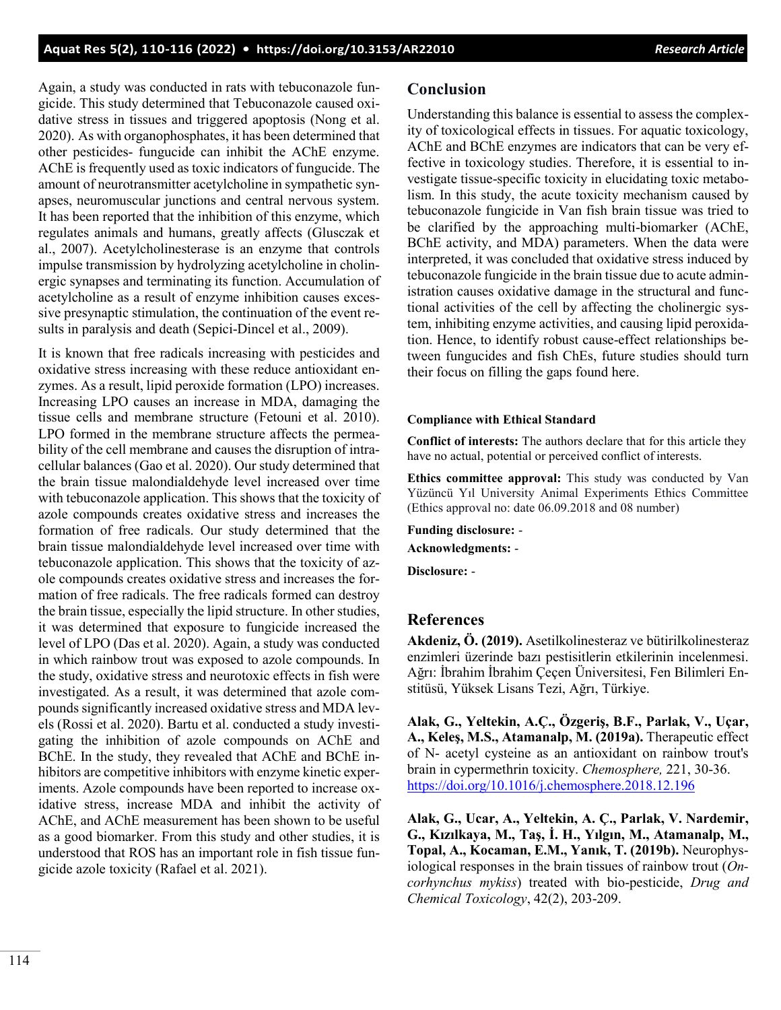Again, a study was conducted in rats with tebuconazole fungicide. This study determined that Tebuconazole caused oxidative stress in tissues and triggered apoptosis (Nong et al. 2020). As with organophosphates, it has been determined that other pesticides- fungucide can inhibit the AChE enzyme. AChE is frequently used as toxic indicators of fungucide. The amount of neurotransmitter acetylcholine in sympathetic synapses, neuromuscular junctions and central nervous system. It has been reported that the inhibition of this enzyme, which regulates animals and humans, greatly affects (Glusczak et al., 2007). Acetylcholinesterase is an enzyme that controls impulse transmission by hydrolyzing acetylcholine in cholinergic synapses and terminating its function. Accumulation of acetylcholine as a result of enzyme inhibition causes excessive presynaptic stimulation, the continuation of the event results in paralysis and death (Sepici-Dincel et al., 2009).

It is known that free radicals increasing with pesticides and oxidative stress increasing with these reduce antioxidant enzymes. As a result, lipid peroxide formation (LPO) increases. Increasing LPO causes an increase in MDA, damaging the tissue cells and membrane structure (Fetouni et al. 2010). LPO formed in the membrane structure affects the permeability of the cell membrane and causes the disruption of intracellular balances (Gao et al. 2020). Our study determined that the brain tissue malondialdehyde level increased over time with tebuconazole application. This shows that the toxicity of azole compounds creates oxidative stress and increases the formation of free radicals. Our study determined that the brain tissue malondialdehyde level increased over time with tebuconazole application. This shows that the toxicity of azole compounds creates oxidative stress and increases the formation of free radicals. The free radicals formed can destroy the brain tissue, especially the lipid structure. In other studies, it was determined that exposure to fungicide increased the level of LPO (Das et al. 2020). Again, a study was conducted in which rainbow trout was exposed to azole compounds. In the study, oxidative stress and neurotoxic effects in fish were investigated. As a result, it was determined that azole compounds significantly increased oxidative stress and MDA levels (Rossi et al. 2020). Bartu et al. conducted a study investigating the inhibition of azole compounds on AChE and BChE. In the study, they revealed that AChE and BChE inhibitors are competitive inhibitors with enzyme kinetic experiments. Azole compounds have been reported to increase oxidative stress, increase MDA and inhibit the activity of AChE, and AChE measurement has been shown to be useful as a good biomarker. From this study and other studies, it is understood that ROS has an important role in fish tissue fungicide azole toxicity (Rafael et al. 2021).

#### **Conclusion**

Understanding this balance is essential to assess the complexity of toxicological effects in tissues. For aquatic toxicology, AChE and BChE enzymes are indicators that can be very effective in toxicology studies. Therefore, it is essential to investigate tissue-specific toxicity in elucidating toxic metabolism. In this study, the acute toxicity mechanism caused by tebuconazole fungicide in Van fish brain tissue was tried to be clarified by the approaching multi-biomarker (AChE, BChE activity, and MDA) parameters. When the data were interpreted, it was concluded that oxidative stress induced by tebuconazole fungicide in the brain tissue due to acute administration causes oxidative damage in the structural and functional activities of the cell by affecting the cholinergic system, inhibiting enzyme activities, and causing lipid peroxidation. Hence, to identify robust cause-effect relationships between fungucides and fish ChEs, future studies should turn their focus on filling the gaps found here.

#### **Compliance with Ethical Standard**

**Conflict of interests:** The authors declare that for this article they have no actual, potential or perceived conflict of interests.

**Ethics committee approval:** This study was conducted by Van Yüzüncü Yıl University Animal Experiments Ethics Committee (Ethics approval no: date 06.09.2018 and 08 number)

**Funding disclosure:** - **Acknowledgments:** - **Disclosure:** -

#### **References**

**Akdeniz, Ö. (2019).** Asetilkolinesteraz ve bütirilkolinesteraz enzimleri üzerinde bazı pestisitlerin etkilerinin incelenmesi. Ağrı: İbrahim İbrahim Çeçen Üniversitesi, Fen Bilimleri Enstitüsü, Yüksek Lisans Tezi, Ağrı, Türkiye.

**Alak, G., Yeltekin, A.Ç., Özgeriş, B.F., Parlak, V., Uçar, A., Keleş, M.S., Atamanalp, M. (2019a).** Therapeutic effect of N- acetyl cysteine as an antioxidant on rainbow trout's brain in cypermethrin toxicity. *Chemosphere,* 221, 30-36. <https://doi.org/10.1016/j.chemosphere.2018.12.196>

**Alak, G., Ucar, A., Yeltekin, A. Ç., Parlak, V. Nardemir, G., Kızılkaya, M., Taş, İ. H., Yılgın, M., Atamanalp, M., Topal, A., Kocaman, E.M., Yanık, T. (2019b).** Neurophysiological responses in the brain tissues of rainbow trout (*Oncorhynchus mykiss*) treated with bio-pesticide, *Drug and Chemical Toxicology*, 42(2), 203-209.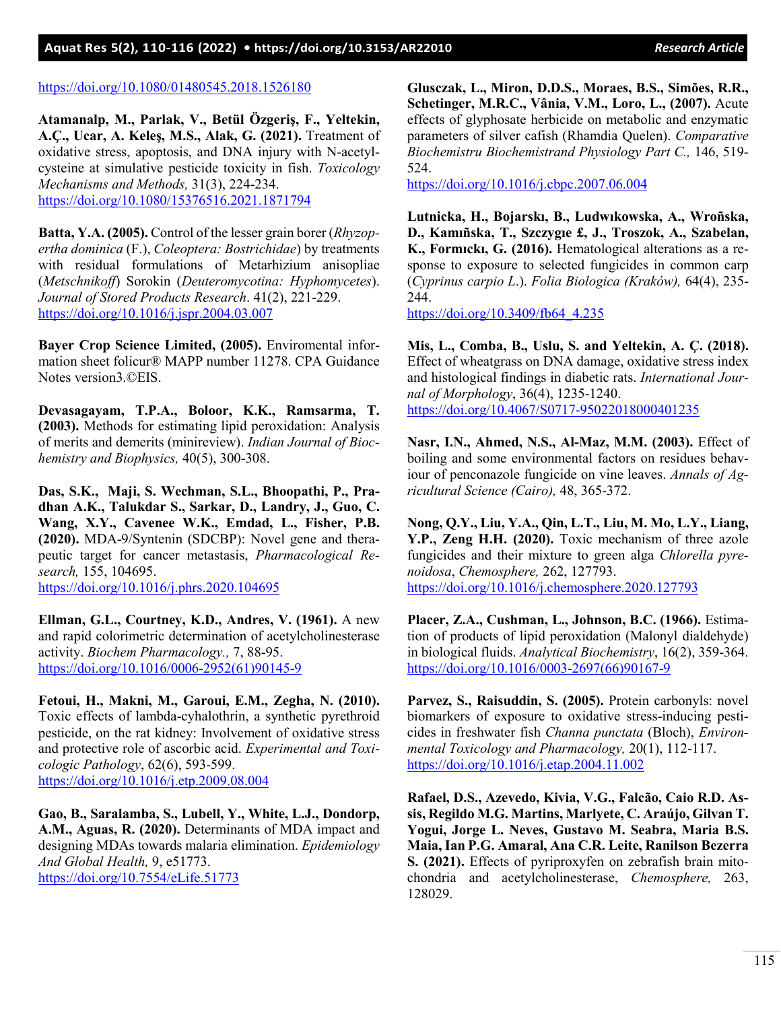#### <https://doi.org/10.1080/01480545.2018.1526180>

**Atamanalp, M., Parlak, V., Betül Özgeriş, F., Yeltekin, A.Ç., Ucar, A. Keleş, M.S., Alak, G. (2021).** Treatment of oxidative stress, apoptosis, and DNA injury with N-acetylcysteine at simulative pesticide toxicity in fish. *Toxicology Mechanisms and Methods,* 31(3), 224-234. <https://doi.org/10.1080/15376516.2021.1871794>

**Batta, Y.A. (2005).** Control of the lesser grain borer (*Rhyzopertha dominica* (F.), *Coleoptera: Bostrichidae*) by treatments with residual formulations of Metarhizium anisopliae (*Metschnikoff*) Sorokin (*Deuteromycotina: Hyphomycetes*). *Journal of Stored Products Research*. 41(2), 221-229. <https://doi.org/10.1016/j.jspr.2004.03.007>

**Bayer Crop Science Limited, (2005).** Enviromental information sheet folicur® MAPP number 11278. CPA Guidance Notes version3.©EIS.

**Devasagayam, T.P.A., Boloor, K.K., Ramsarma, T. (2003).** Methods for estimating lipid peroxidation: Analysis of merits and demerits (minireview). *Indian Journal of Biochemistry and Biophysics,* 40(5), 300-308.

**Das, S.K., Maji, S. Wechman, S.L., Bhoopathi, P., Pradhan A.K., Talukdar S., Sarkar, D., Landry, J., Guo, C. Wang, X.Y., Cavenee W.K., Emdad, L., Fisher, P.B. (2020).** MDA-9/Syntenin (SDCBP): Novel gene and therapeutic target for cancer metastasis, *Pharmacological Research,* 155, 104695.

<https://doi.org/10.1016/j.phrs.2020.104695>

**Ellman, G.L., Courtney, K.D., Andres, V. (1961).** A new and rapid colorimetric determination of acetylcholinesterase activity. *Biochem Pharmacology.,* 7, 88-95. [https://doi.org/10.1016/0006-2952\(61\)90145-9](https://doi.org/10.1016/0006-2952(61)90145-9)

**Fetoui, H., Makni, M., Garoui, E.M., Zegha, N. (2010).** Toxic effects of lambda-cyhalothrin, a synthetic pyrethroid pesticide, on the rat kidney: Involvement of oxidative stress and protective role of ascorbic acid. *Experimental and Toxicologic Pathology*, 62(6), 593-599. <https://doi.org/10.1016/j.etp.2009.08.004>

**Gao, B., Saralamba, S., Lubell, Y., White, L.J., Dondorp, A.M., Aguas, R. (2020).** Determinants of MDA impact and designing MDAs towards malaria elimination. *Epidemiology And Global Health,* 9, e51773. <https://doi.org/10.7554/eLife.51773>

**Glusczak, L., Miron, D.D.S., Moraes, B.S., Simões, R.R., Schetinger, M.R.C., Vânia, V.M., Loro, L., (2007).** Acute effects of glyphosate herbicide on metabolic and enzymatic parameters of silver cafish (Rhamdia Quelen). *Comparative Biochemistru Biochemistrand Physiology Part C.,* 146, 519- 524.

<https://doi.org/10.1016/j.cbpc.2007.06.004>

**Lutnicka, H., Bojarskı, B., Ludwıkowska, A., Wroñska, D., Kamıñska, T., Szczygıe £, J., Troszok, A., Szabelan, K., Formıckı, G. (2016).** Hematological alterations as a response to exposure to selected fungicides in common carp (*Cyprinus carpio L*.). *Folia Biologica (Kraków),* 64(4), 235- 244.

[https://doi.org/10.3409/fb64\\_4.235](https://doi.org/10.3409/fb64_4.235)

**Mis, L., Comba, B., Uslu, S. and Yeltekin, A. Ç. (2018).** Effect of wheatgrass on DNA damage, oxidative stress index and histological findings in diabetic rats. *International Journal of Morphology*, 36(4), 1235-1240. <https://doi.org/10.4067/S0717-95022018000401235>

**Nasr, I.N., Ahmed, N.S., Al-Maz, M.M. (2003).** Effect of boiling and some environmental factors on residues behaviour of penconazole fungicide on vine leaves. *Annals of Agricultural Science (Cairo),* 48, 365-372.

**Nong, Q.Y., Liu, Y.A., Qin, L.T., Liu, M. Mo, L.Y., Liang, Y.P., Zeng H.H. (2020).** Toxic mechanism of three azole fungicides and their mixture to green alga *Chlorella pyrenoidosa*, *Chemosphere,* 262, 127793. <https://doi.org/10.1016/j.chemosphere.2020.127793>

**Placer, Z.A., Cushman, L., Johnson, B.C. (1966).** Estimation of products of lipid peroxidation (Malonyl dialdehyde) in biological fluids. *Analytical Biochemistry*, 16(2), 359-364. [https://doi.org/10.1016/0003-2697\(66\)90167-9](https://doi.org/10.1016/0003-2697(66)90167-9)

**Parvez, S., Raisuddin, S. (2005).** Protein carbonyls: novel biomarkers of exposure to oxidative stress-inducing pesticides in freshwater fish *Channa punctata* (Bloch), *Environmental Toxicology and Pharmacology,* 20(1), 112-117. <https://doi.org/10.1016/j.etap.2004.11.002>

**Rafael, D.S., Azevedo, Kivia, V.G., Falcão, Caio R.D. Assis, Regildo M.G. Martins, Marlyete, C. Araújo, Gilvan T. Yogui, Jorge L. Neves, Gustavo M. Seabra, Maria B.S. Maia, Ian P.G. Amaral, Ana C.R. Leite, Ranilson Bezerra S. (2021).** Effects of pyriproxyfen on zebrafish brain mitochondria and acetylcholinesterase, *Chemosphere,* 263, 128029.